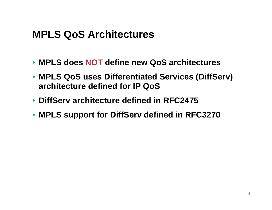## **MPLS QoS Architectures**

- **MPLS does NOT define new QoS architectures**
- **MPLS QoS uses Differentiated Services (DiffServ) architecture defined for IP QoS**
- **DiffServ architecture defined in RFC2475**
- **MPLS support for DiffServ defined in RFC3270**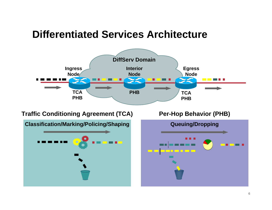## **Differentiated Services Architecture**



#### **Traffic Conditioning Agreement (TCA)**

**Classification/Marking/Policing/Shaping**



**Per-Hop Behavior (PHB) Queuing/Dropping**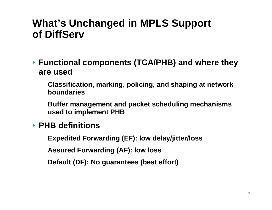### **What's Unchanged in MPLS Support of DiffServ**

- **Functional components (TCA/PHB) and where they are used**
	- **Classification, marking, policing, and shaping at network boundaries**
	- **Buffer management and packet scheduling mechanisms used to implement PHB**
- **PHB definitions**
	- **Expedited Forwarding (EF): low delay/jitter/loss**
	- **Assured Forwarding (AF): low loss**
	- **Default (DF): No guarantees (best effort)**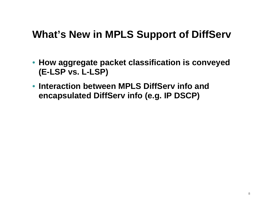## **What's New in MPLS Support of DiffServ**

- **How aggregate packet classification is conveyed (E-LSP vs. L-LSP)**
- **Interaction between MPLS DiffServ info and encapsulated DiffServ info (e.g. IP DSCP)**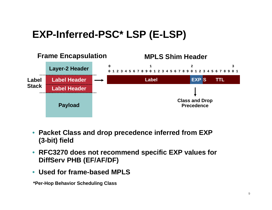# **EXP-Inferred-PSC\* LSP (E-LSP)**



- **Packet Class and drop precedence inferred from EXP (3-bit) field**
- **RFC3270 does not recommend specific EXP values for DiffServ PHB (EF/AF/DF)**
- **Used for frame-based MPLS**

**\*Per-Hop Behavior Scheduling Class**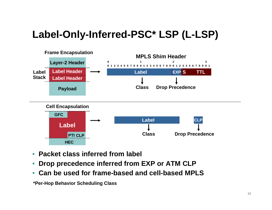# **Label-Only-Inferred-PSC\* LSP (L-LSP)**



- **Packet class inferred from label**
- **Drop precedence inferred from EXP or ATM CLP**
- **Can be used for frame-based and cell-based MPLS**

**\*Per-Hop Behavior Scheduling Class**